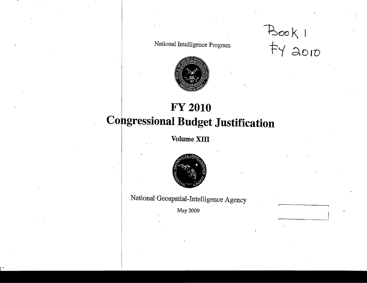National Intelligence Program

 $BooKI$ <br> $+YQ010$ 



## **FY 2010 Congressional Budget Justification**

Volume XIII



National Geospatial-Intelligence Agency

May 2009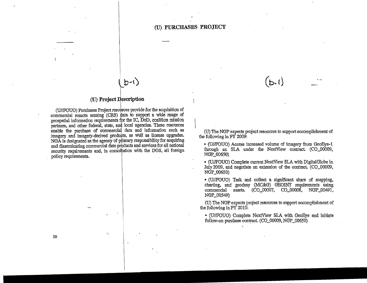## (U) **PURCHASES PROJECT**

## (U) Project Jescription

I

 $b - 1$ )

(U//FOUO) Purchases Project resources provide for the acquisition of commercial remote sensing (CRS) data to support a wide range of geospatial information requirements for the IC, DoD, coalition mission partners, and other federal, state, and local agencies. These resources enable the purchase of commercial data and information such as imagery and imagery-derived products, as well as license upgrades. NGA is designated as the agency of primary responsibility for acquiring and disseminating commercial data products and services for all national security requirements and, in consultation with the DOS, all foreign policy requirements.

 $\mathbf{v}$  ).

(U) The NGP expects project resources to support accomplishment of the following in FY 2009:

 $(b \cdot l)$ 

• (U/fFOUO) Access increased volume of imagery from GeoBye-1 through an SLA under the NextView contract (CO\_00009, NGP\_00650)

• (U/fFOUO) Complete current NextView SLA with DigitalGlobe in July 2009, and negotiate an extension of the contract. (CO\_00009, NGP\_00650)

• (U/fFOUO) Task and collect a significant share of mapping, charting, and geodesy (MC&G) GEOINT requirements using commercial assets. (CO\_00007. CO\_OOQ08, NGP\_00491, NGP\_OOS49)

(U) The NGP ex.pects project resources to support accomplishment of the following in FY 2010:

• (U/fFOUO) Complete NextView SLA with GeoBye and initiate follow-on purchase contract (CO\_00009, NGP\_00650)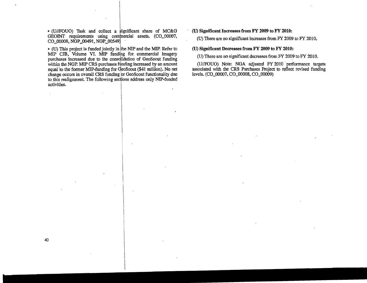• (U/IPOUO) Task and collect a significant share of MC&G GEOINT requirements using commercial assets. (CO\_00007, CO\_00008, NGP\_00491, NGP\_00549)

• (U) This project is funded jointly in the NIP and the MIP. Refer to MIP CJB, Volume VI. MIP funding for commercial imagery purchases increased due to the consolidation of GeoScout funding within the NGP. MIP CRS purchases funding increased by an amount equal 'to the former MIP.funding for deoScout (\$41 million). No net change occurs in overall CRS funding br GeoScout functionality due to this realignment. The following sections address only NIP-funded activities.

(U) **Significant Increases from FY 2009 to FY 2010:** 

(U) There are no significant increases from FY 2009 to FY 2010.

(U) **Significant Decreases from FY 2009 to FY 2010;** 

(U) There are no significant decreases from FY 2009 to FY 2010.

(U//FOUO) Note: NGA adjusted FY 2010 performance targets associated with the CRS Purchases Project to reflect revised funding levels. (CO\_00007, CO\_00008, CO\_00009)

 $\mathcal{L}$